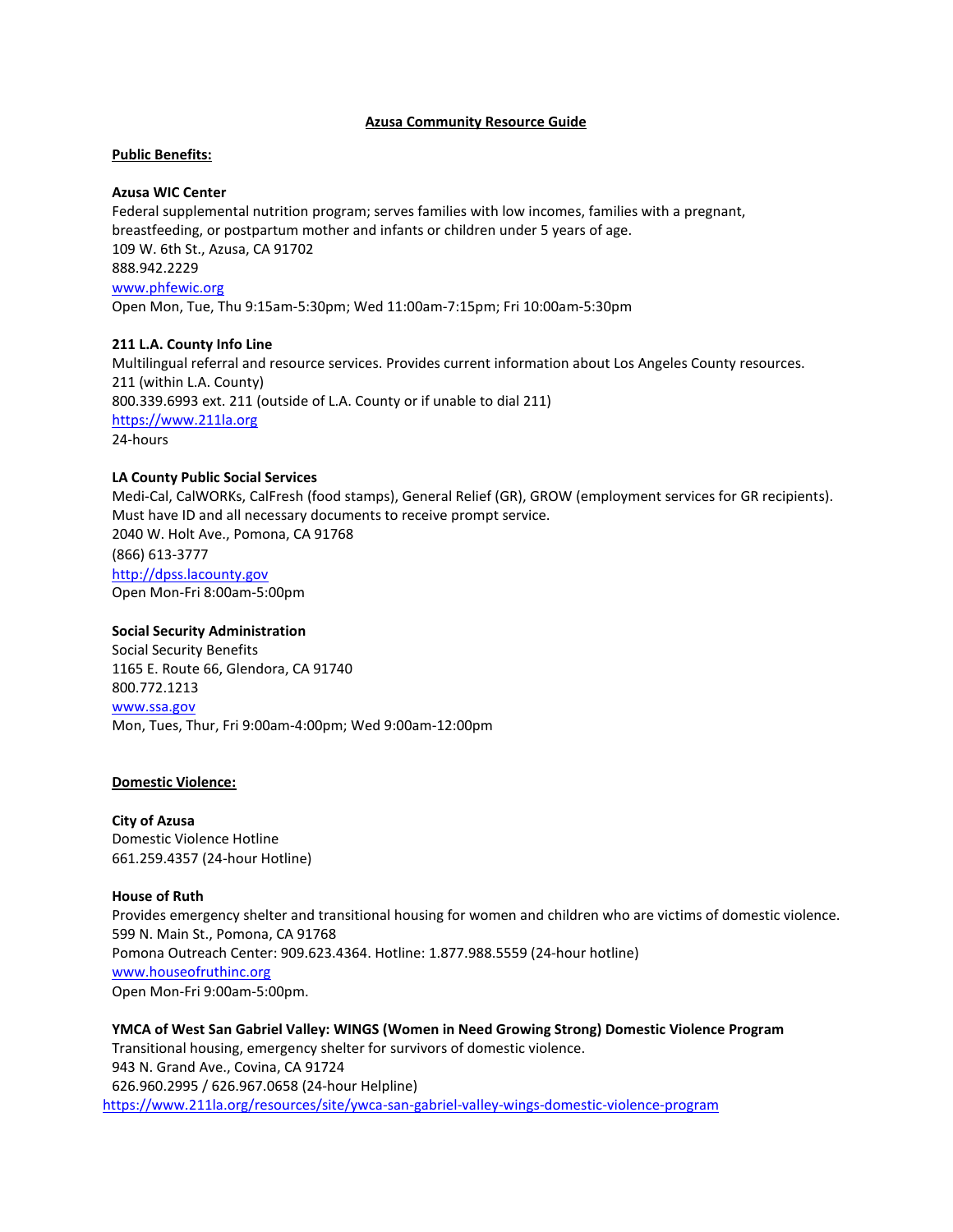# **Azusa Community Resource Guide**

# **Public Benefits:**

# **Azusa WIC Center**

Federal supplemental nutrition program; serves families with low incomes, families with a pregnant, breastfeeding, or postpartum mother and infants or children under 5 years of age. 109 W. 6th St., Azusa, CA 91702 888.942.2229 [www.phfewic.org](http://www.phfewic.org/)

Open Mon, Tue, Thu 9:15am-5:30pm; Wed 11:00am-7:15pm; Fri 10:00am-5:30pm

# **211 L.A. County Info Line**

Multilingual referral and resource services. Provides current information about Los Angeles County resources. 211 (within L.A. County) 800.339.6993 ext. 211 (outside of L.A. County or if unable to dial 211) [https://www.211la.org](https://www.211la.org/) 24-hours

# **LA County Public Social Services**

Medi-Cal, CalWORKs, CalFresh (food stamps), General Relief (GR), GROW (employment services for GR recipients). Must have ID and all necessary documents to receive prompt service. 2040 W. Holt Ave., Pomona, CA 91768 (866) 613-3777 [http://dpss.lacounty.gov](http://dpss.lacounty.gov/)

Open Mon-Fri 8:00am-5:00pm

# **Social Security Administration**

Social Security Benefits 1165 E. Route 66, Glendora, CA 91740 800.772.1213 [www.ssa.gov](http://www.ssa.gov/) Mon, Tues, Thur, Fri 9:00am-4:00pm; Wed 9:00am-12:00pm

# **Domestic Violence:**

**City of Azusa** Domestic Violence Hotline 661.259.4357 (24-hour Hotline)

# **House of Ruth**

Provides emergency shelter and transitional housing for women and children who are victims of domestic violence. 599 N. Main St., Pomona, CA 91768 Pomona Outreach Center: 909.623.4364. Hotline: 1.877.988.5559 (24-hour hotline) [www.houseofruthinc.org](http://www.houseofruthinc.org/) Open Mon-Fri 9:00am-5:00pm.

**YMCA of West San Gabriel Valley: WINGS (Women in Need Growing Strong) Domestic Violence Program** Transitional housing, emergency shelter for survivors of domestic violence. 943 N. Grand Ave., Covina, CA 91724 626.960.2995 / 626.967.0658 (24-hour Helpline) https://www.211la.org/resources/site/ywca-san-gabriel-valley-wings-domestic-violence-program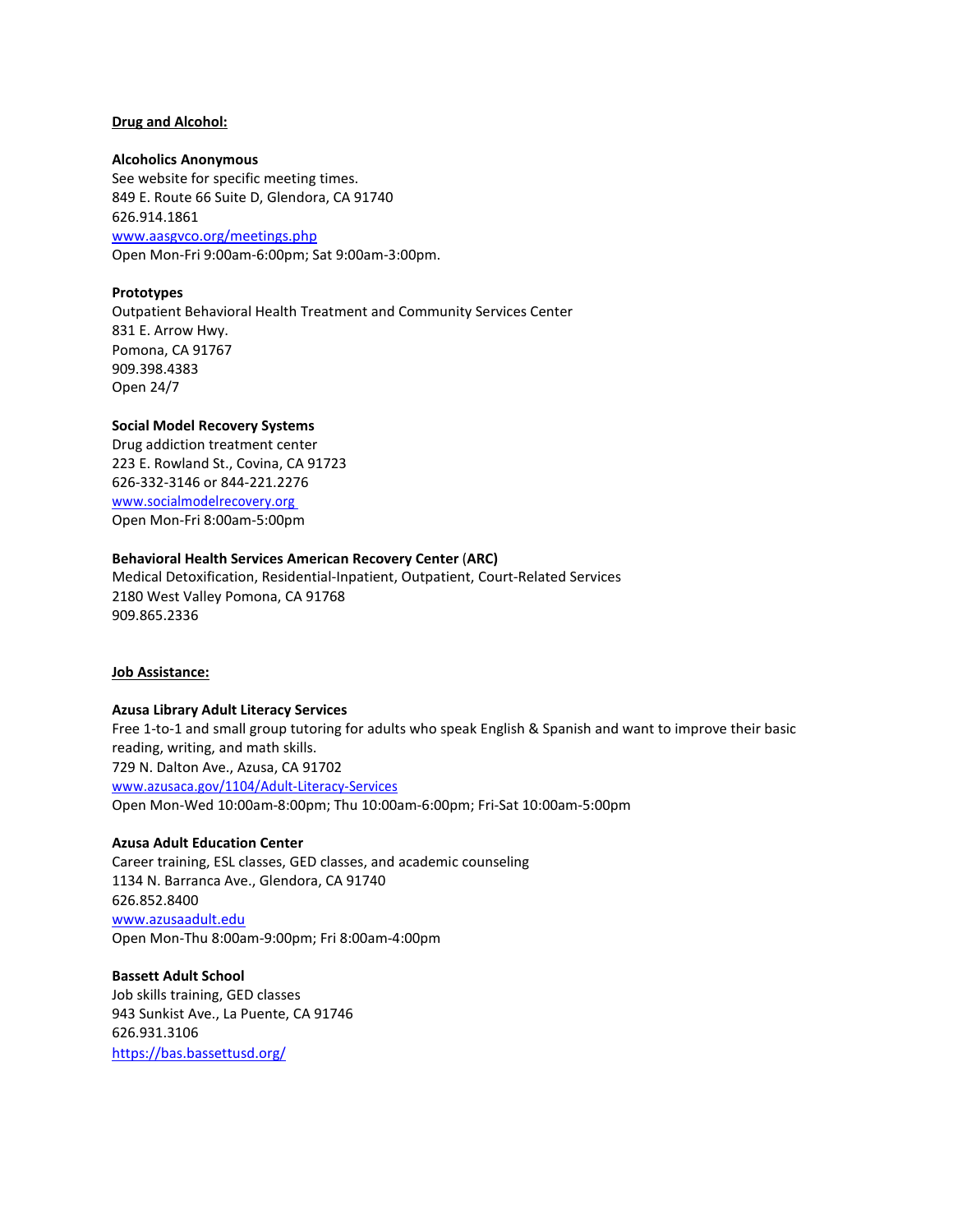### **Drug and Alcohol:**

#### **Alcoholics Anonymous**

See website for specific meeting times. 849 E. Route 66 Suite D, Glendora, CA 91740 626.914.1861 [www.aasgvco.org/meetings.php](http://www.aasgvco.org/meetings.php)

Open Mon-Fri 9:00am-6:00pm; Sat 9:00am-3:00pm.

# **Prototypes**

Outpatient Behavioral Health Treatment and Community Services Center 831 E. Arrow Hwy. Pomona, CA 91767 909.398.4383 Open 24/7

# **Social Model Recovery Systems**

Drug addiction treatment center 223 E. Rowland St., Covina, CA 91723 626-332-3146 or 844-221.2276 [www.socialmodelrecovery.org](http://www.socialmodelrecovery.org/) Open Mon-Fri 8:00am-5:00pm

# **Behavioral Health Services American Recovery Center** (**ARC)**

Medical Detoxification, Residential-Inpatient, Outpatient, Court-Related Services 2180 West Valley Pomona, CA 91768 909.865.2336

# **Job Assistance:**

# **Azusa Library Adult Literacy Services**

Free 1-to-1 and small group tutoring for adults who speak English & Spanish and want to improve their basic reading, writing, and math skills. 729 N. Dalton Ave., Azusa, CA 91702 [www.azusaca.gov/1104/Adult-Literacy-Services](http://www.azusaca.gov/1104/Adult-Literacy-Services) Open Mon-Wed 10:00am-8:00pm; Thu 10:00am-6:00pm; Fri-Sat 10:00am-5:00pm

#### **Azusa Adult Education Center**

Career training, ESL classes, GED classes, and academic counseling 1134 N. Barranca Ave., Glendora, CA 91740 626.852.8400 [www.azusaadult.edu](http://www.azusaadult.edu/) Open Mon-Thu 8:00am-9:00pm; Fri 8:00am-4:00pm

**Bassett Adult School** Job skills training, GED classes 943 Sunkist Ave., La Puente, CA 91746 626.931.3106 https://bas.bassettusd.org/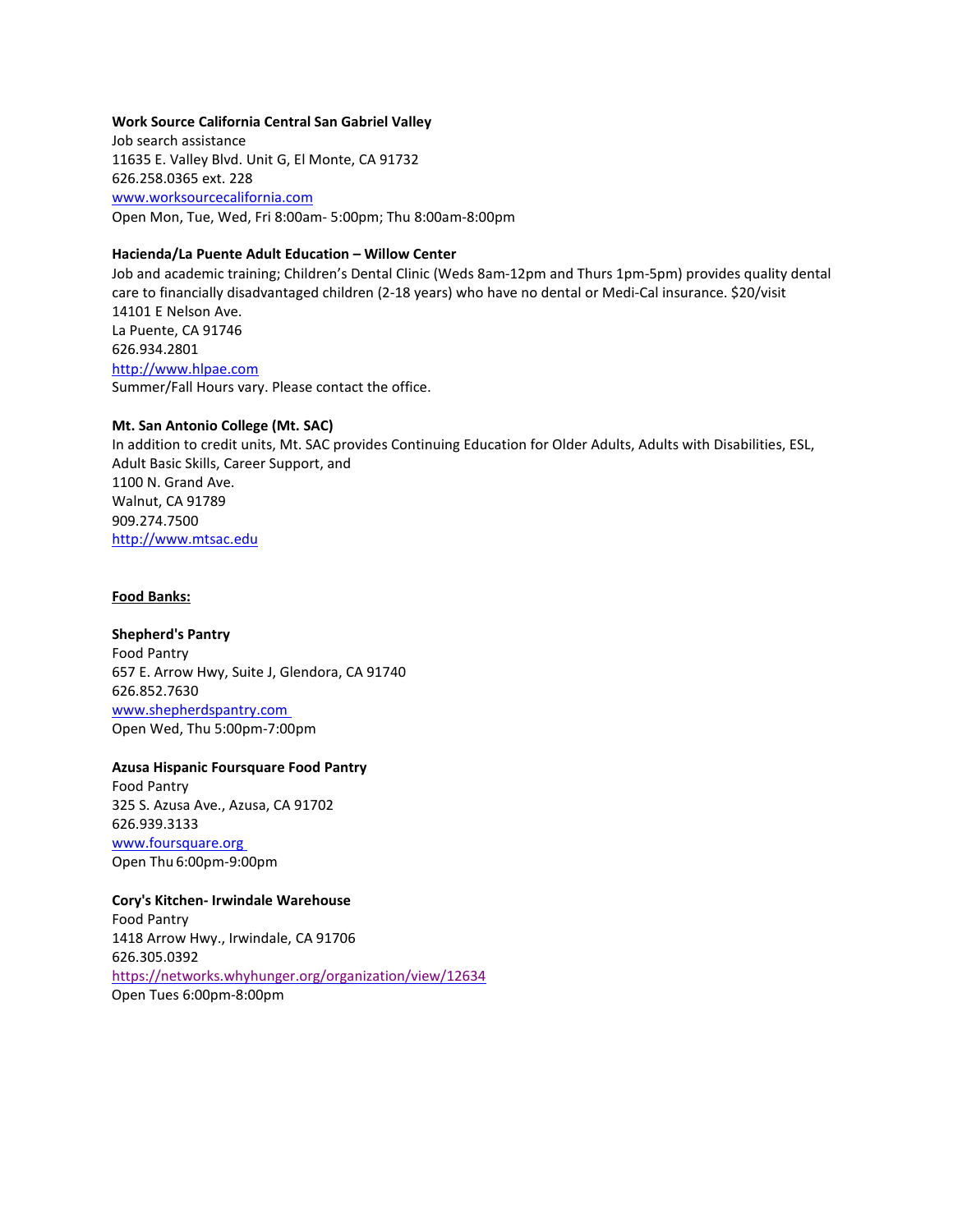# **Work Source California Central San Gabriel Valley**

Job search assistance 11635 E. Valley Blvd. Unit G, El Monte, CA 91732 626.258.0365 ext. 228 [www.worksourcecalifornia.com](http://www.worksourcecalifornia.com/) Open Mon, Tue, Wed, Fri 8:00am- 5:00pm; Thu 8:00am-8:00pm

# **Hacienda/La Puente Adult Education – Willow Center**

Job and academic training; Children's Dental Clinic (Weds 8am-12pm and Thurs 1pm-5pm) provides quality dental care to financially disadvantaged children (2-18 years) who have no dental or Medi-Cal insurance. \$20/visit 14101 E Nelson Ave. La Puente, CA 91746 626.934.2801 [http://www.hlpae.com](http://www.hlpae.com/) Summer/Fall Hours vary. Please contact the office.

#### **Mt. San Antonio College (Mt. SAC)**

In addition to credit units, Mt. SAC provides Continuing Education for Older Adults, Adults with Disabilities, ESL, Adult Basic Skills, Career Support, and 1100 N. Grand Ave. Walnut, CA 91789 909.274.7500 [http://www.mtsac.edu](http://www.mtsac.edu/)

#### **Food Banks:**

**Shepherd's Pantry** Food Pantry 657 E. Arrow Hwy, Suite J, Glendora, CA 91740 626.852.7630 [www.shepherdspantry.com](http://www.shepherdspantry.com/) Open Wed, Thu 5:00pm-7:00pm

# **Azusa Hispanic Foursquare Food Pantry**

Food Pantry 325 S. Azusa Ave., Azusa, CA 91702 626.939.3133 [www.foursquare.org](http://www.foursquare.org/) Open Thu 6:00pm-9:00pm

# **Cory's Kitchen- Irwindale Warehouse**

Food Pantry 1418 Arrow Hwy., Irwindale, CA 91706 626.305.0392 <https://networks.whyhunger.org/organization/view/12634> Open Tues 6:00pm-8:00pm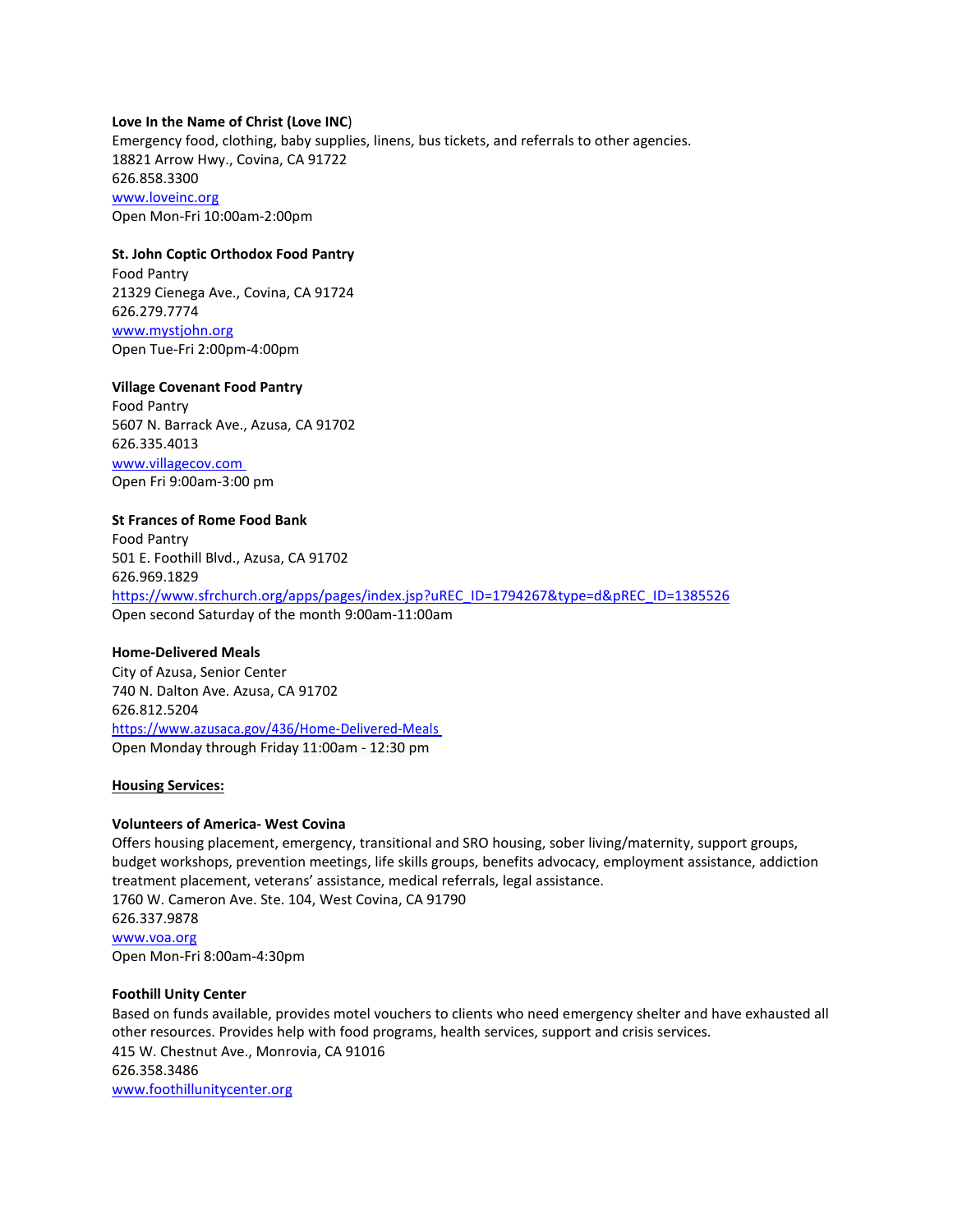# **Love In the Name of Christ (Love INC**)

Emergency food, clothing, baby supplies, linens, bus tickets, and referrals to other agencies. 18821 Arrow Hwy., Covina, CA 91722 626.858.3300 [www.loveinc.org](http://www.loveinc.org/) Open Mon-Fri 10:00am-2:00pm

# **St. John Coptic Orthodox Food Pantry**

Food Pantry 21329 Cienega Ave., Covina, CA 91724 626.279.7774 [www.mystjohn.org](http://www.mystjohn.org/) Open Tue-Fri 2:00pm-4:00pm

### **Village Covenant Food Pantry**

Food Pantry 5607 N. Barrack Ave., Azusa, CA 91702 626.335.4013 [www.villagecov.com](http://www.villagecov.com/) Open Fri 9:00am-3:00 pm

# **St Frances of Rome Food Bank**

Food Pantry 501 E. Foothill Blvd., Azusa, CA 91702 626.969.1829 [https://www.sfrchurch.org/apps/pages/index.jsp?uREC\\_ID=1794267&type=d&pREC\\_ID=1385526](https://www.sfrchurch.org/apps/pages/index.jsp?uREC_ID=1794267&type=d&pREC_ID=1385526) Open second Saturday of the month 9:00am-11:00am

# **Home-Delivered Meals**

City of Azusa, Senior Center 740 N. Dalton Ave. Azusa, CA 91702 626.812.5204 <https://www.azusaca.gov/436/Home-Delivered-Meals> Open Monday through Friday 11:00am - 12:30 pm

# **Housing Services:**

# **Volunteers of America- West Covina**

Offers housing placement, emergency, transitional and SRO housing, sober living/maternity, support groups, budget workshops, prevention meetings, life skills groups, benefits advocacy, employment assistance, addiction treatment placement, veterans' assistance, medical referrals, legal assistance. 1760 W. Cameron Ave. Ste. 104, West Covina, CA 91790 626.337.9878 [www.voa.org](http://www.voa.org/) Open Mon-Fri 8:00am-4:30pm

#### **Foothill Unity Center**

Based on funds available, provides motel vouchers to clients who need emergency shelter and have exhausted all other resources. Provides help with food programs, health services, support and crisis services. 415 W. Chestnut Ave., Monrovia, CA 91016 626.358.3486 [www.foothillunitycenter.org](http://www.foothillunitycenter.org/)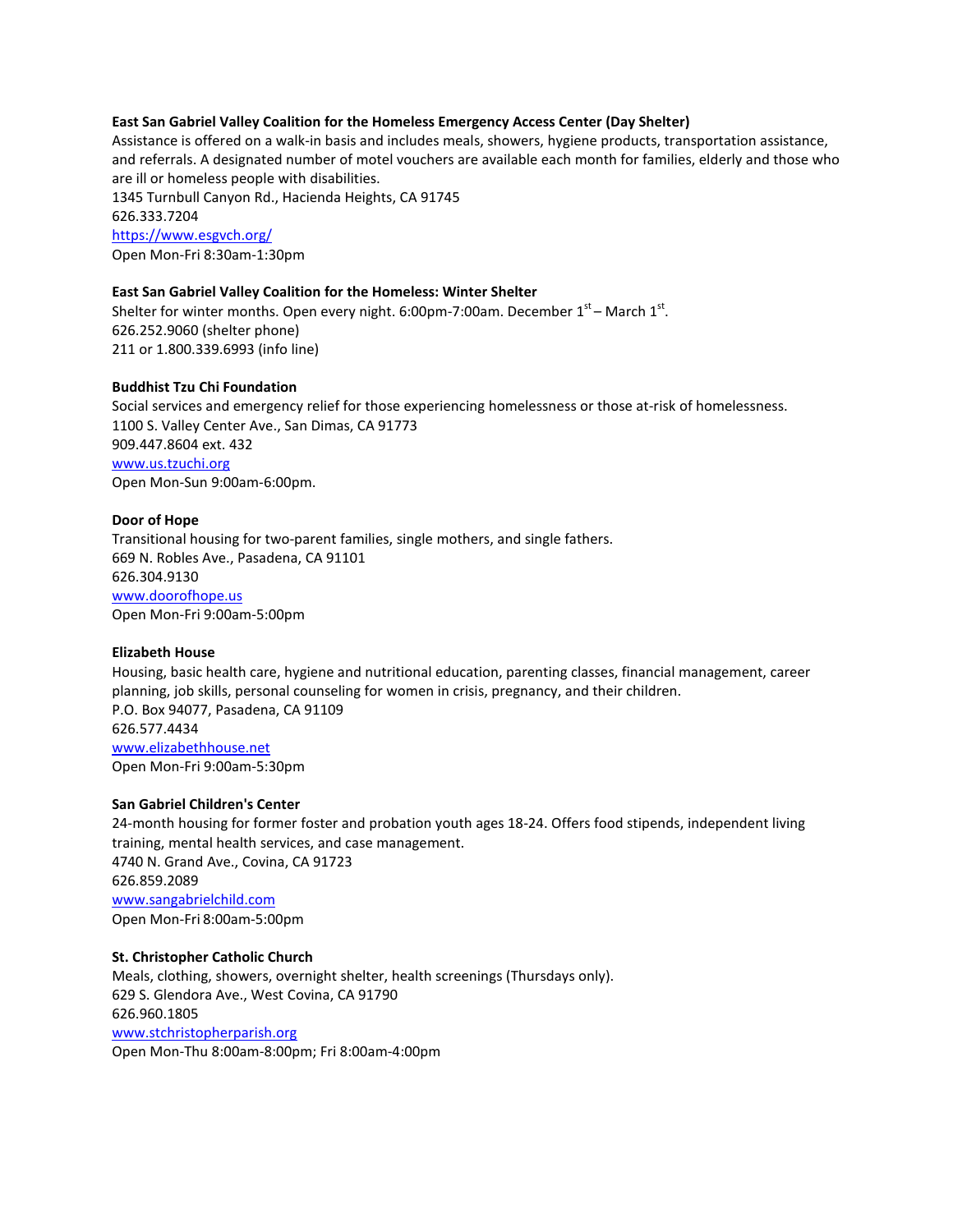# **East San Gabriel Valley Coalition for the Homeless Emergency Access Center (Day Shelter)**

Assistance is offered on a walk-in basis and includes meals, showers, hygiene products, transportation assistance, and referrals. A designated number of motel vouchers are available each month for families, elderly and those who are ill or homeless people with disabilities.

1345 Turnbull Canyon Rd., Hacienda Heights, CA 91745 626.333.7204 <https://www.esgvch.org/> Open Mon-Fri 8:30am-1:30pm

# **East San Gabriel Valley Coalition for the Homeless: Winter Shelter**

Shelter for winter months. Open every night. 6:00pm-7:00am. December  $1<sup>st</sup>$  – March  $1<sup>st</sup>$ . 626.252.9060 (shelter phone) 211 or 1.800.339.6993 (info line)

# **Buddhist Tzu Chi Foundation**

Social services and emergency relief for those experiencing homelessness or those at-risk of homelessness. 1100 S. Valley Center Ave., San Dimas, CA 91773 909.447.8604 ext. 432 [www.us.tzuchi.org](http://www.us.tzuchi.org/) Open Mon-Sun 9:00am-6:00pm.

# **Door of Hope**

Transitional housing for two-parent families, single mothers, and single fathers. 669 N. Robles Ave., Pasadena, CA 91101 626.304.9130 [www.doorofhope.us](http://www.doorofhope.us/) Open Mon-Fri 9:00am-5:00pm

# **Elizabeth House**

Housing, basic health care, hygiene and nutritional education, parenting classes, financial management, career planning, job skills, personal counseling for women in crisis, pregnancy, and their children. P.O. Box 94077, Pasadena, CA 91109 626.577.4434 [www.elizabethhouse.net](http://www.elizabethhouse.net/) Open Mon-Fri 9:00am-5:30pm

# **San Gabriel Children's Center**

24-month housing for former foster and probation youth ages 18-24. Offers food stipends, independent living training, mental health services, and case management. 4740 N. Grand Ave., Covina, CA 91723 626.859.2089 [www.sangabrielchild.com](http://www.sangabrielchild.com/) Open Mon-Fri 8:00am-5:00pm

# **St. Christopher Catholic Church**

Meals, clothing, showers, overnight shelter, health screenings (Thursdays only). 629 S. Glendora Ave., West Covina, CA 91790 626.960.1805 [www.stchristopherparish.org](http://www.stchristopherparish.org/) Open Mon-Thu 8:00am-8:00pm; Fri 8:00am-4:00pm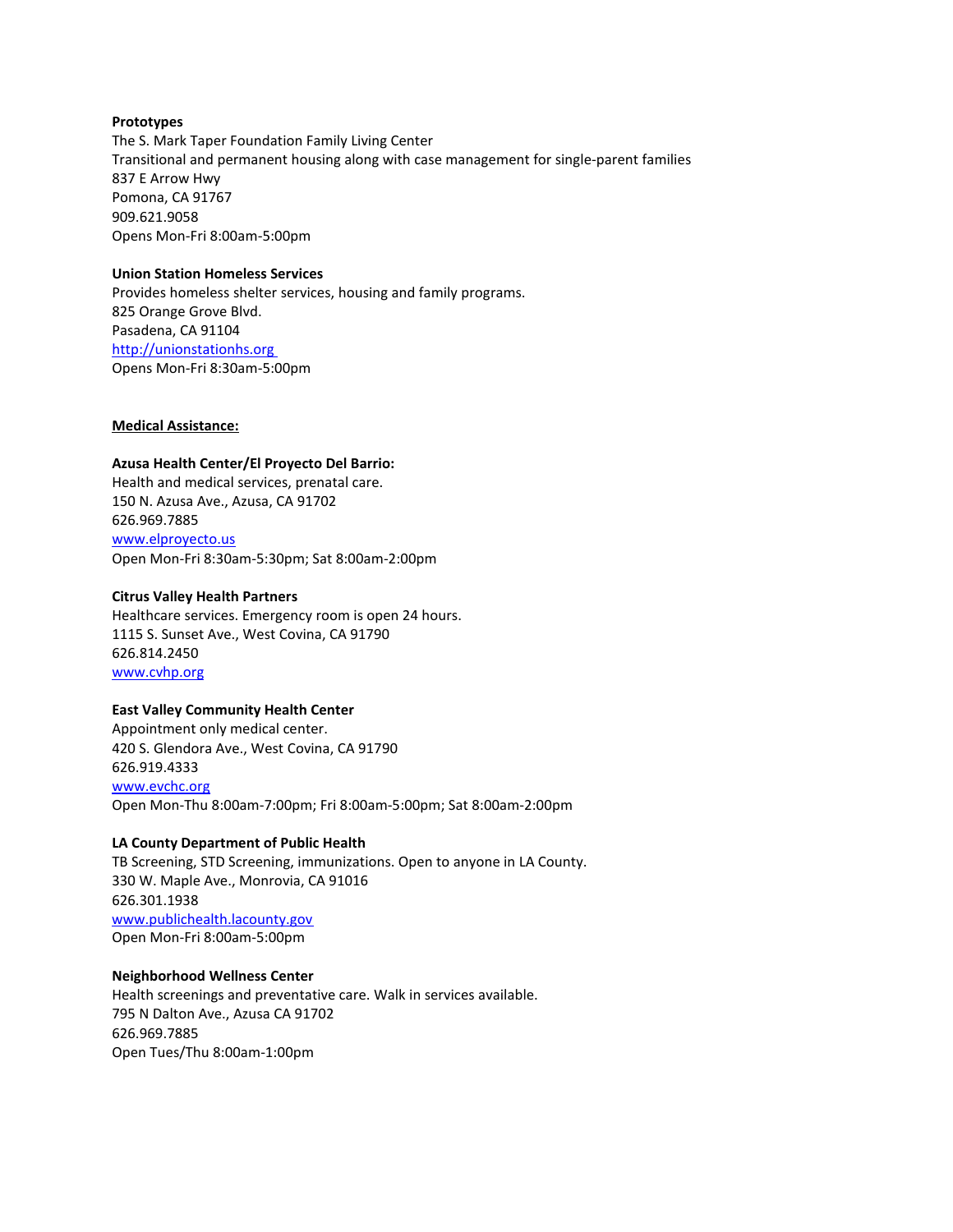# **Prototypes**

The S. Mark Taper Foundation Family Living Center Transitional and permanent housing along with case management for single-parent families 837 E Arrow Hwy Pomona, CA 91767 909.621.9058 Opens Mon-Fri 8:00am-5:00pm

# **Union Station Homeless Services**

Provides homeless shelter services, housing and family programs. 825 Orange Grove Blvd. Pasadena, CA 91104 [http://unionstationhs.org](http://unionstationhs.org/) Opens Mon-Fri 8:30am-5:00pm

# **Medical Assistance:**

# **Azusa Health Center/El Proyecto Del Barrio:**

Health and medical services, prenatal care. 150 N. Azusa Ave., Azusa, CA 91702 626.969.7885 [www.elproyecto.us](http://www.elproyecto.us/) Open Mon-Fri 8:30am-5:30pm; Sat 8:00am-2:00pm

# **Citrus Valley Health Partners**

Healthcare services. Emergency room is open 24 hours. 1115 S. Sunset Ave., West Covina, CA 91790 626.814.2450 [www.cvhp.org](http://www.cvhp.org/)

# **East Valley Community Health Center**

Appointment only medical center. 420 S. Glendora Ave., West Covina, CA 91790 626.919.4333 [www.evchc.org](http://www.evchc.org/) Open Mon-Thu 8:00am-7:00pm; Fri 8:00am-5:00pm; Sat 8:00am-2:00pm

# **LA County Department of Public Health**

TB Screening, STD Screening, immunizations. Open to anyone in LA County. 330 W. Maple Ave., Monrovia, CA 91016 626.301.1938 [www.publichealth.lacounty.gov](http://www.publichealth.lacounty.gov/) Open Mon-Fri 8:00am-5:00pm

# **Neighborhood Wellness Center**

Health screenings and preventative care. Walk in services available. 795 N Dalton Ave., Azusa CA 91702 626.969.7885 Open Tues/Thu 8:00am-1:00pm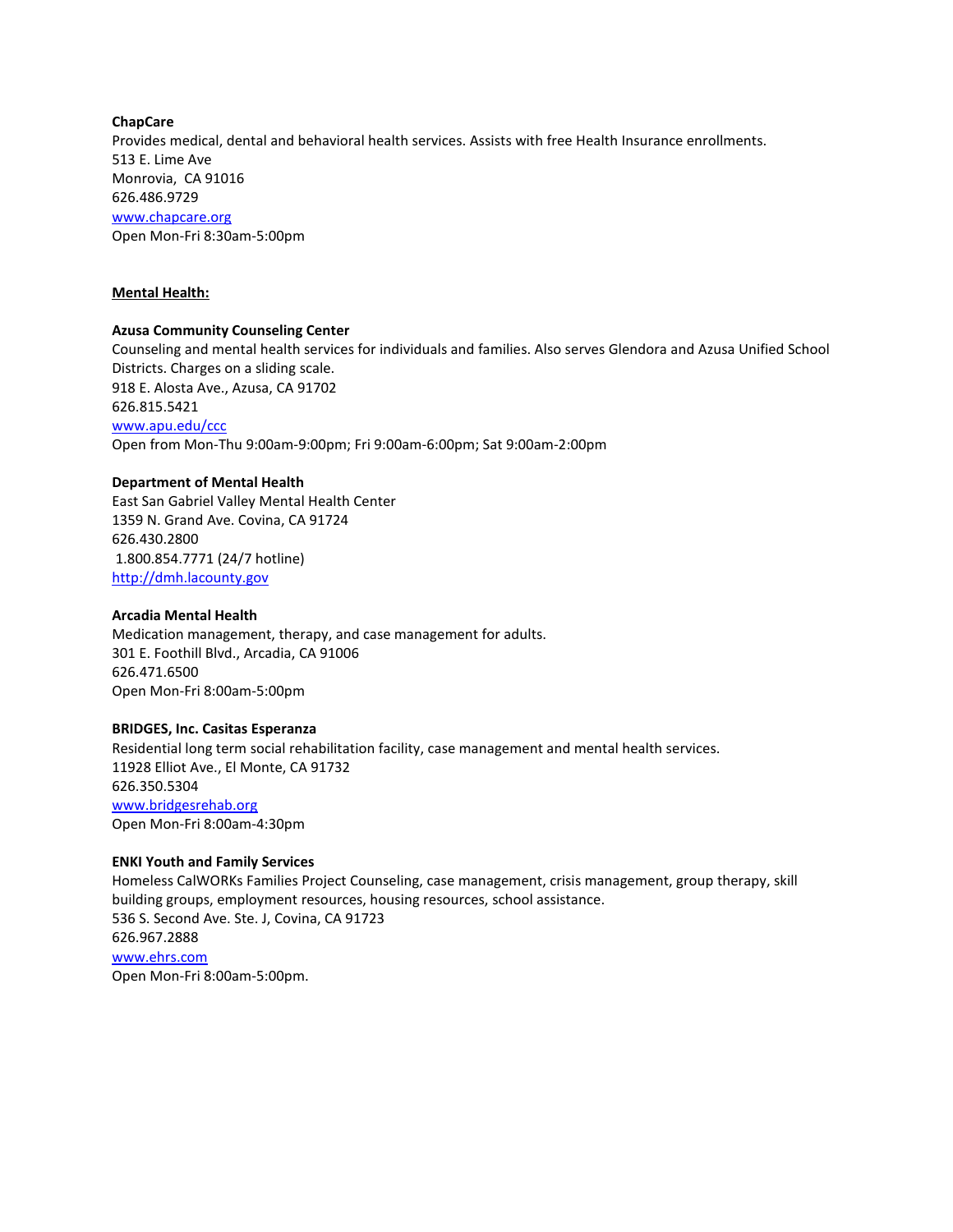# **ChapCare** Provides medical, dental and behavioral health services. Assists with free Health Insurance enrollments. 513 E. Lime Ave Monrovia, CA 91016 626.486.9729 [www.chapcare.org](http://www.chapcare.org/) Open Mon-Fri 8:30am-5:00pm

# **Mental Health:**

# **Azusa Community Counseling Center**

Counseling and mental health services for individuals and families. Also serves Glendora and Azusa Unified School Districts. Charges on a sliding scale. 918 E. Alosta Ave., Azusa, CA 91702 626.815.5421 [www.apu.edu/ccc](http://www.apu.edu/ccc) Open from Mon-Thu 9:00am-9:00pm; Fri 9:00am-6:00pm; Sat 9:00am-2:00pm

#### **Department of Mental Health**

East San Gabriel Valley Mental Health Center 1359 N. Grand Ave. Covina, CA 91724 626.430.2800 1.800.854.7771 (24/7 hotline) [http://dmh.lacounty.gov](http://dmh.lacounty.gov/)

#### **Arcadia Mental Health**

Medication management, therapy, and case management for adults. 301 E. Foothill Blvd., Arcadia, CA 91006 626.471.6500 Open Mon-Fri 8:00am-5:00pm

# **BRIDGES, Inc. Casitas Esperanza**

Residential long term social rehabilitation facility, case management and mental health services. 11928 Elliot Ave., El Monte, CA 91732 626.350.5304 [www.bridgesrehab.org](http://www.bridgesrehab.org/) Open Mon-Fri 8:00am-4:30pm

# **ENKI Youth and Family Services**

Homeless CalWORKs Families Project Counseling, case management, crisis management, group therapy, skill building groups, employment resources, housing resources, school assistance. 536 S. Second Ave. Ste. J, Covina, CA 91723 626.967.2888 [www.ehrs.com](http://www.ehrs.com/) Open Mon-Fri 8:00am-5:00pm.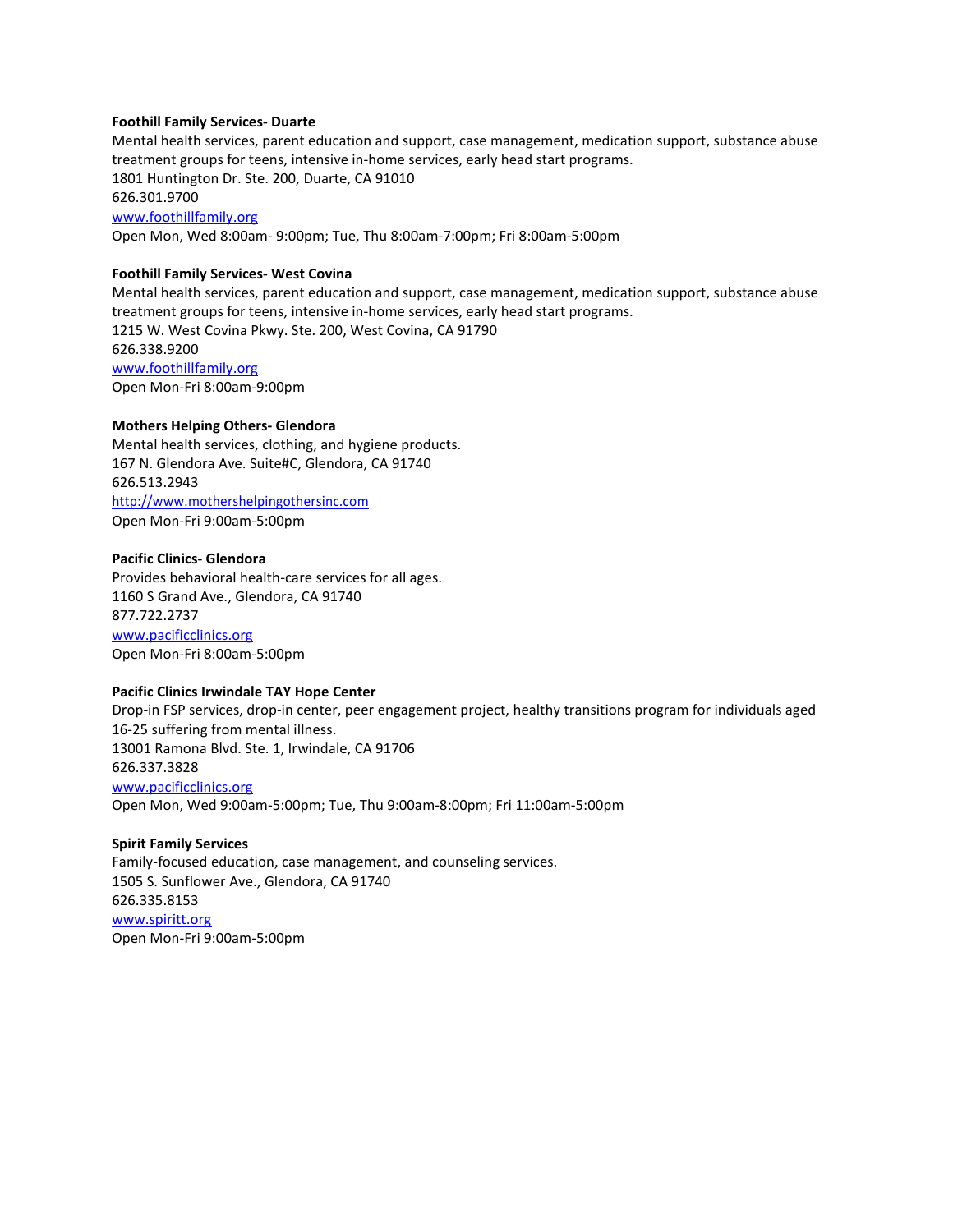#### **Foothill Family Services- Duarte**

Mental health services, parent education and support, case management, medication support, substance abuse treatment groups for teens, intensive in-home services, early head start programs. 1801 Huntington Dr. Ste. 200, Duarte, CA 91010 626.301.9700 [www.foothillfamily.org](http://www.foothillfamily.org/) Open Mon, Wed 8:00am- 9:00pm; Tue, Thu 8:00am-7:00pm; Fri 8:00am-5:00pm

# **Foothill Family Services- West Covina**

Mental health services, parent education and support, case management, medication support, substance abuse treatment groups for teens, intensive in-home services, early head start programs. 1215 W. West Covina Pkwy. Ste. 200, West Covina, CA 91790 626.338.9200 [www.foothillfamily.org](http://www.foothillfamily.org/) Open Mon-Fri 8:00am-9:00pm

#### **Mothers Helping Others- Glendora**

Mental health services, clothing, and hygiene products. 167 N. Glendora Ave. Suite#C, Glendora, CA 91740 626.513.2943 [http://www.mothershelpingothersinc.com](http://www.mothershelpingothersinc.com/) Open Mon-Fri 9:00am-5:00pm

#### **Pacific Clinics- Glendora**

Provides behavioral health-care services for all ages. 1160 S Grand Ave., Glendora, CA 91740 877.722.2737 [www.pacificclinics.org](http://www.pacificclinics.org/) Open Mon-Fri 8:00am-5:00pm

# **Pacific Clinics Irwindale TAY Hope Center**

Drop-in FSP services, drop-in center, peer engagement project, healthy transitions program for individuals aged 16-25 suffering from mental illness. 13001 Ramona Blvd. Ste. 1, Irwindale, CA 91706 626.337.3828 [www.pacificclinics.org](http://www.pacificclinics.org/) Open Mon, Wed 9:00am-5:00pm; Tue, Thu 9:00am-8:00pm; Fri 11:00am-5:00pm

# **Spirit Family Services** Family-focused education, case management, and counseling services. 1505 S. Sunflower Ave., Glendora, CA 91740

626.335.8153 [www.spiritt.org](http://www.spiritt.org/) Open Mon-Fri 9:00am-5:00pm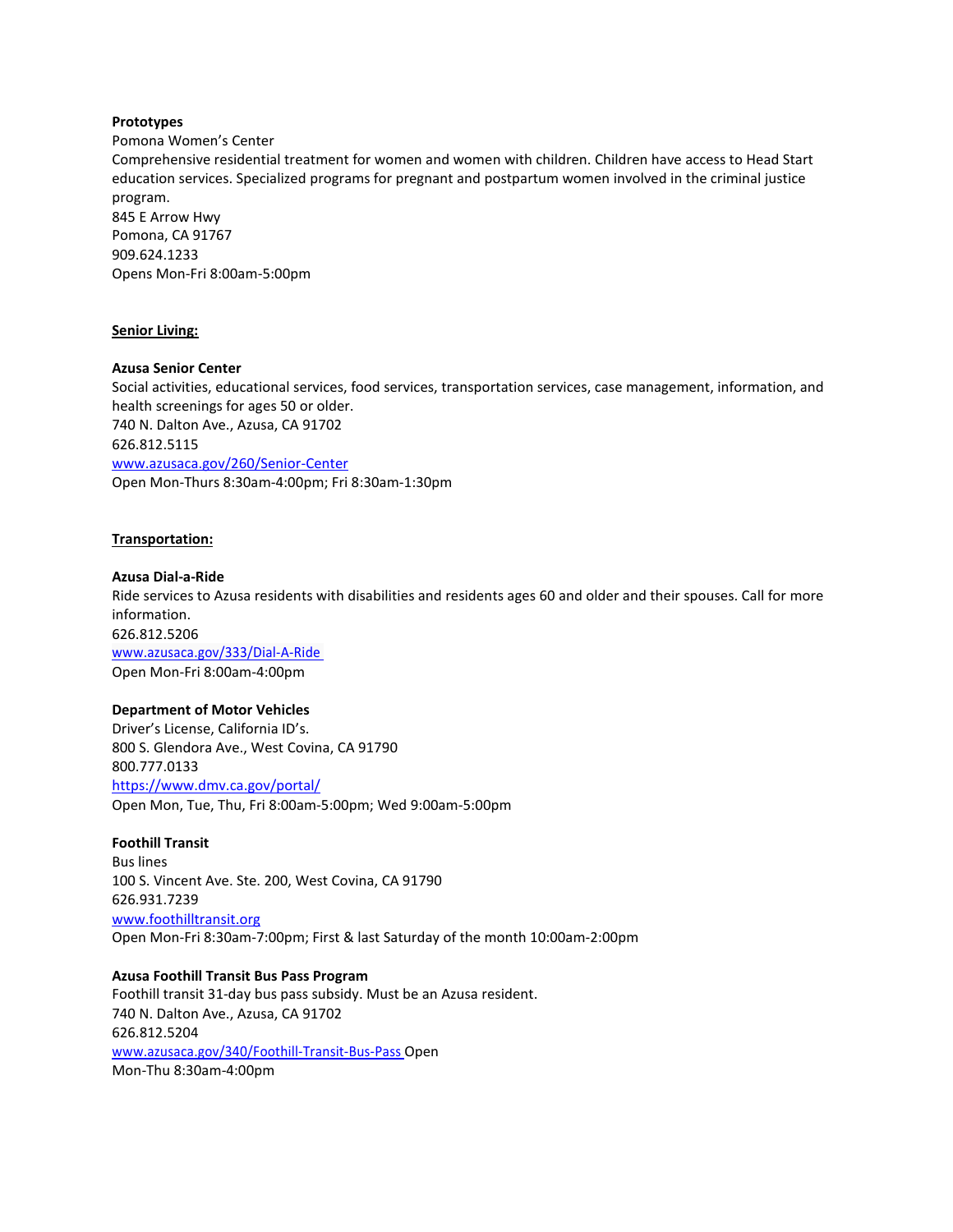# **Prototypes**

Pomona Women's Center

Comprehensive residential treatment for women and women with children. Children have access to Head Start education services. Specialized programs for pregnant and postpartum women involved in the criminal justice program.

845 E Arrow Hwy Pomona, CA 91767 909.624.1233 Opens Mon-Fri 8:00am-5:00pm

#### **Senior Living:**

# **Azusa Senior Center**

Social activities, educational services, food services, transportation services, case management, information, and health screenings for ages 50 or older. 740 N. Dalton Ave., Azusa, CA 91702 626.812.5115 [www.azusaca.gov/260/Senior-Center](http://www.azusaca.gov/260/Senior-Center) Open Mon-Thurs 8:30am-4:00pm; Fri 8:30am-1:30pm

# **Transportation:**

#### **Azusa Dial-a-Ride**

Ride services to Azusa residents with disabilities and residents ages 60 and older and their spouses. Call for more information. 626.812.5206 [www.azusaca.gov/333/Dial-A-Ride](http://www.azusaca.gov/333/Dial-A-Ride) Open Mon-Fri 8:00am-4:00pm

#### **Department of Motor Vehicles**

Driver's License, California ID's. 800 S. Glendora Ave., West Covina, CA 91790 800.777.0133 <https://www.dmv.ca.gov/portal/> Open Mon, Tue, Thu, Fri 8:00am-5:00pm; Wed 9:00am-5:00pm

#### **Foothill Transit**

Bus lines 100 S. Vincent Ave. Ste. 200, West Covina, CA 91790 626.931.7239 [www.foothilltransit.org](http://www.foothilltransit.org/) Open Mon-Fri 8:30am-7:00pm; First & last Saturday of the month 10:00am-2:00pm

**Azusa Foothill Transit Bus Pass Program** Foothill transit 31-day bus pass subsidy. Must be an Azusa resident. 740 N. Dalton Ave., Azusa, CA 91702 626.812.5204 [www.azusaca.gov/340/Foothill-Transit-Bus-Pass](http://www.azusaca.gov/340/Foothill-Transit-Bus-Pass) Open Mon-Thu 8:30am-4:00pm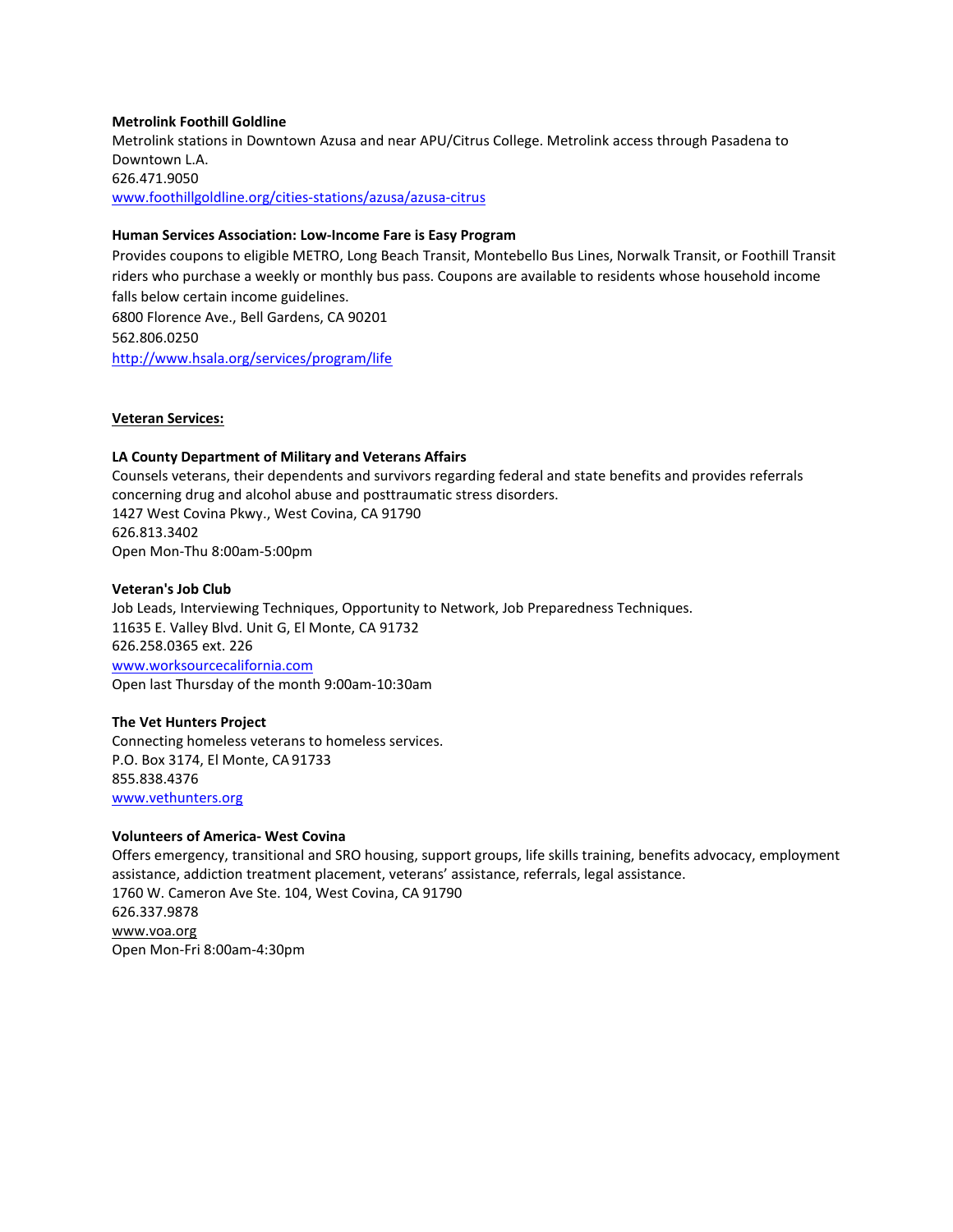# **Metrolink Foothill Goldline**

Metrolink stations in Downtown Azusa and near APU/Citrus College. Metrolink access through Pasadena to Downtown L.A. 626.471.9050 [www.foothillgoldline.org/cities-stations/azusa/azusa-citrus](http://www.foothillgoldline.org/cities-stations/azusa/azusa-citrus)

# **Human Services Association: [Low-Income Fare is Easy Program](http://www.hsala.org/services/program/life)**

Provides coupons to eligible METRO, Long Beach Transit, Montebello Bus Lines, Norwalk Transit, or Foothill Transit riders who purchase a weekly or monthly bus pass. Coupons are available to residents whose household income falls below certain income guidelines. 6800 Florence Ave., Bell Gardens, CA 90201 562.806.0250 <http://www.hsala.org/services/program/life>

# **Veteran Services:**

# **LA County Department of Military and Veterans Affairs**

Counsels veterans, their dependents and survivors regarding federal and state benefits and provides referrals concerning drug and alcohol abuse and posttraumatic stress disorders. 1427 West Covina Pkwy., West Covina, CA 91790 626.813.3402 Open Mon-Thu 8:00am-5:00pm

# **Veteran's Job Club**

Job Leads, Interviewing Techniques, Opportunity to Network, Job Preparedness Techniques. 11635 E. Valley Blvd. Unit G, El Monte, CA 91732 626.258.0365 ext. 226 [www.worksourcecalifornia.com](http://www.worksourcecalifornia.com/) Open last Thursday of the month 9:00am-10:30am

# **The Vet Hunters Project**

Connecting homeless veterans to homeless services. P.O. Box 3174, El Monte, CA 91733 855.838.4376 [www.vethunters.org](http://www.vethunters.org/)

# **Volunteers of America- West Covina**

Offers emergency, transitional and SRO housing, support groups, life skills training, benefits advocacy, employment assistance, addiction treatment placement, veterans' assistance, referrals, legal assistance. 1760 W. Cameron Ave Ste. 104, West Covina, CA 91790 626.337.9878 [www.voa.org](http://www.voa.org/) Open Mon-Fri 8:00am-4:30pm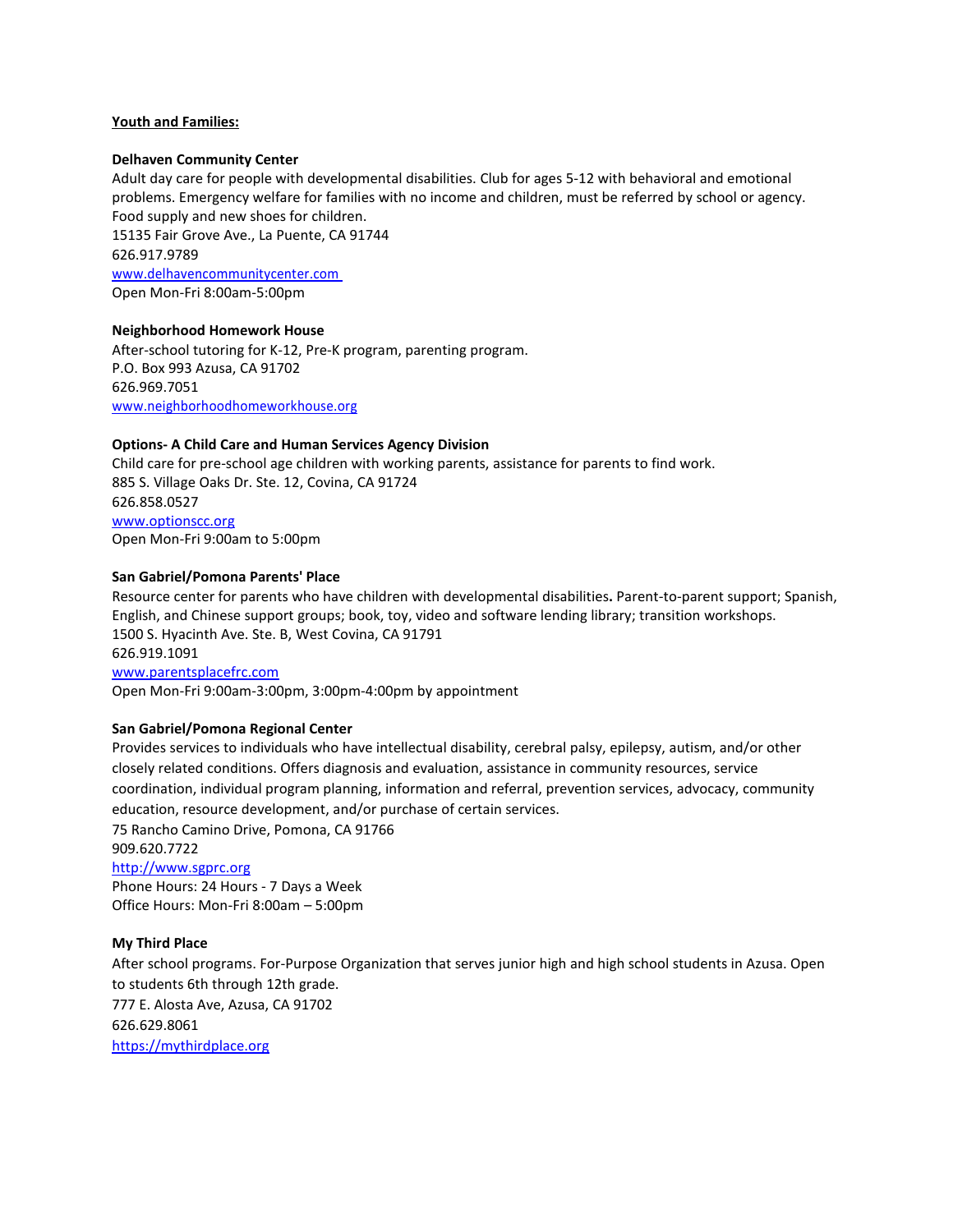# **Youth and Families:**

### **Delhaven Community Center**

Adult day care for people with developmental disabilities. Club for ages 5-12 with behavioral and emotional problems. Emergency welfare for families with no income and children, must be referred by school or agency. Food supply and new shoes for children.

15135 Fair Grove Ave., La Puente, CA 91744 626.917.9789 [www.delhavencommunitycenter.com](http://www.delhavencommunitycenter.com/) Open Mon-Fri 8:00am-5:00pm

# **Neighborhood Homework House**

After-school tutoring for K-12, Pre-K program, parenting program. P.O. Box 993 Azusa, CA 91702 626.969.7051 [www.neighborhoodhomeworkhouse.org](http://www.neighborhoodhomeworkhouse.org/)

# **Options- A Child Care and Human Services Agency Division**

Child care for pre-school age children with working parents, assistance for parents to find work. 885 S. Village Oaks Dr. Ste. 12, Covina, CA 91724 626.858.0527 [www.optionscc.org](http://www.optionscc.org/) Open Mon-Fri 9:00am to 5:00pm

# **San Gabriel/Pomona Parents' Place**

Resource center for parents who have children with developmental disabilities**.** Parent-to-parent support; Spanish, English, and Chinese support groups; book, toy, video and software lending library; transition workshops. 1500 S. Hyacinth Ave. Ste. B, West Covina, CA 91791 626.919.1091 [www.parentsplacefrc.com](http://www.parentsplacefrc.com/) Open Mon-Fri 9:00am-3:00pm, 3:00pm-4:00pm by appointment

# **San Gabriel/Pomona Regional Center**

Provides services to individuals who have intellectual disability, cerebral palsy, epilepsy, autism, and/or other closely related conditions. Offers diagnosis and evaluation, assistance in community resources, service coordination, individual program planning, information and referral, prevention services, advocacy, community education, resource development, and/or purchase of certain services.

75 Rancho Camino Drive, Pomona, CA 91766 909.620.7722 [http://www.sgprc.org](http://www.sgprc.org/) Phone Hours: 24 Hours - 7 Days a Week

Office Hours: Mon-Fri 8:00am – 5:00pm

# **My Third Place**

After school programs. For-Purpose Organization that serves junior high and high school students in Azusa. Open to students 6th through 12th grade. 777 E. Alosta Ave, Azusa, CA 91702 626.629.8061

[https://mythirdplace.org](https://mythirdplace.org/)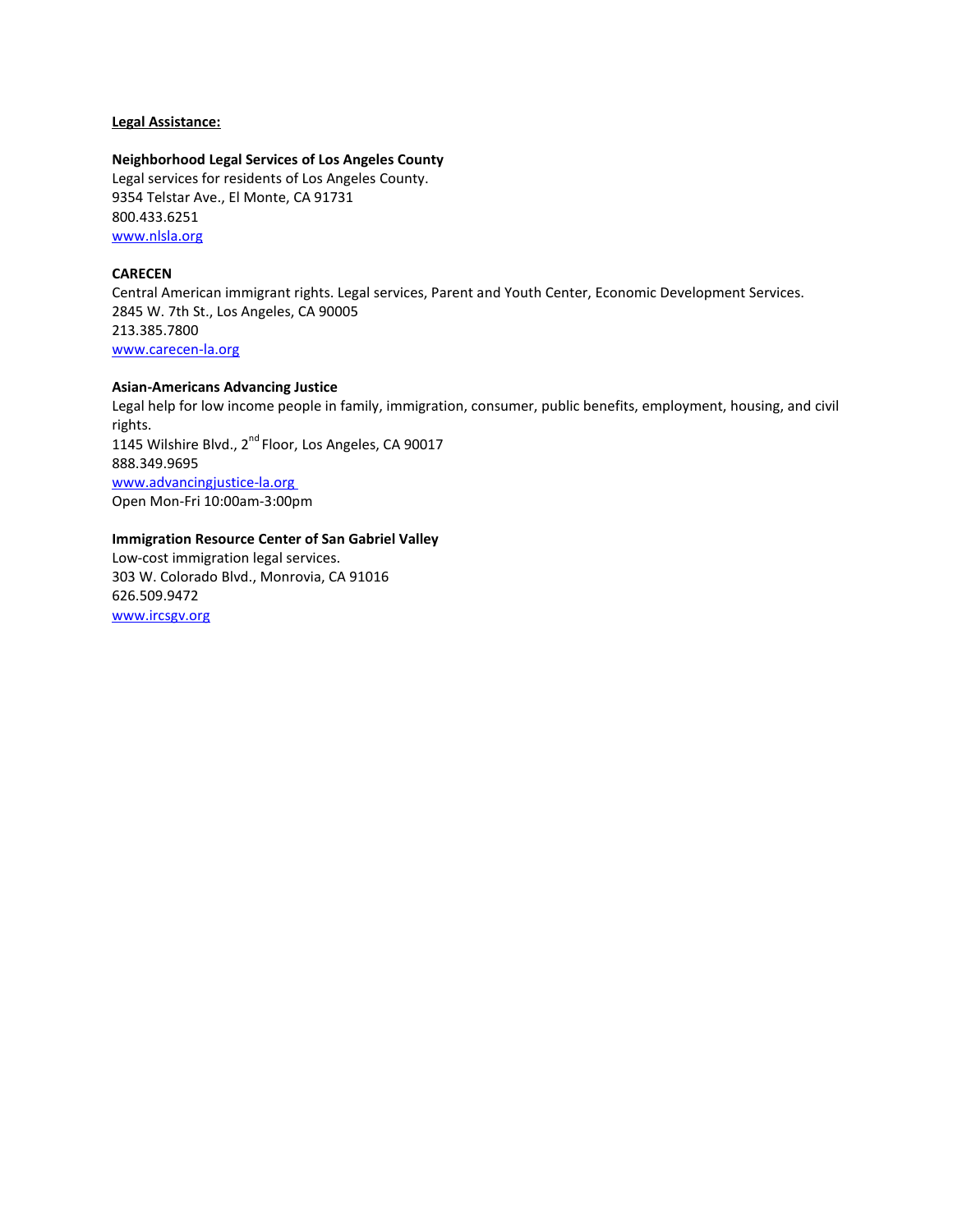# **Legal Assistance:**

**Neighborhood Legal Services of Los Angeles County**  Legal services for residents of Los Angeles County. 9354 Telstar Ave., El Monte, CA 91731 800.433.6251 [www.nlsla.org](http://www.nlsla.org/)

# **CARECEN**

Central American immigrant rights. Legal services, Parent and Youth Center, Economic Development Services. 2845 W. 7th St., Los Angeles, CA 90005 213.385.7800 [www.carecen-la.org](http://www.carecen-la.org/)

# **Asian-Americans Advancing Justice**

Legal help for low income people in family, immigration, consumer, public benefits, employment, housing, and civil rights. 1145 Wilshire Blvd., 2nd Floor, Los Angeles, CA 90017 888.349.9695 [www.advancingjustice-la.org](http://www.advancingjustice-la.org/) Open Mon-Fri 10:00am-3:00pm

# **Immigration Resource Center of San Gabriel Valley**

Low-cost immigration legal services. 303 W. Colorado Blvd., Monrovia, CA 91016 626.509.9472 [www.ircsgv.org](http://www.ircsgv.org/)